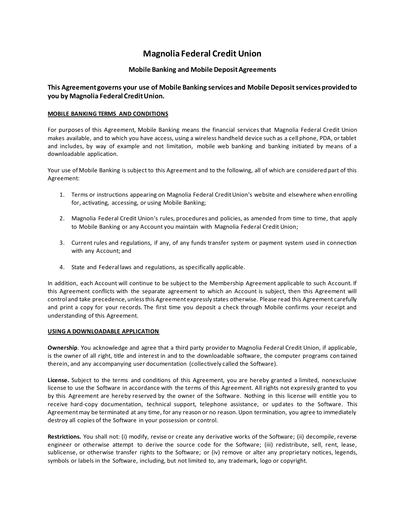# **Magnolia Federal Credit Union**

## **Mobile Banking and Mobile Deposit Agreements**

## **This Agreement governs your use of Mobile Banking services and Mobile Deposit services provided to you by Magnolia Federal Credit Union.**

#### **MOBILE BANKING TERMS AND CONDITIONS**

For purposes of this Agreement, Mobile Banking means the financial services that Magnolia Federal Credit Union makes available, and to which you have access, using a wireless handheld device such as a cell phone, PDA, or tablet and includes, by way of example and not limitation, mobile web banking and banking initiated by means of a downloadable application.

Your use of Mobile Banking is subject to this Agreement and to the following, all of which are considered part of this Agreement:

- 1. Terms or instructions appearing on Magnolia Federal Credit Union's website and elsewhere when enrolling for, activating, accessing, or using Mobile Banking;
- 2. Magnolia Federal Credit Union's rules, procedures and policies, as amended from time to time, that apply to Mobile Banking or any Account you maintain with Magnolia Federal Credit Union;
- 3. Current rules and regulations, if any, of any funds transfer system or payment system used in connection with any Account; and
- 4. State and Federal laws and regulations, as specifically applicable.

In addition, each Account will continue to be subject to the Membership Agreement applicable to such Account. If this Agreement conflicts with the separate agreement to which an Account is subject, then this Agreement will control and take precedence, unless this Agreement expressly states otherwise. Please read this Agreement carefully and print a copy for your records. The first time you deposit a check through Mobile confirms your receipt and understanding of this Agreement.

#### **USING A DOWNLOADABLE APPLICATION**

**Ownership**. You acknowledge and agree that a third party provider to Magnolia Federal Credit Union, if applicable, is the owner of all right, title and interest in and to the downloadable software, the computer programs con tained therein, and any accompanying user documentation (collectively called the Software).

**License.** Subject to the terms and conditions of this Agreement, you are hereby granted a limited, nonexclusive license to use the Software in accordance with the terms of this Agreement. All rights not expressly granted to you by this Agreement are hereby reserved by the owner of the Software. Nothing in this license will entitle you to receive hard-copy documentation, technical support, telephone assistance, or updates to the Software. This Agreement may be terminated at any time, for any reason or no reason. Upon termination, you agree to immediately destroy all copies of the Software in your possession or control.

**Restrictions.** You shall not: (i) modify, revise or create any derivative works of the Software; (ii) decompile, reverse engineer or otherwise attempt to derive the source code for the Software; (iii) redistribute, sell, rent, lease, sublicense, or otherwise transfer rights to the Software; or (iv) remove or alter any proprietary notices, legends, symbols or labels in the Software, including, but not limited to, any trademark, logo or copyright.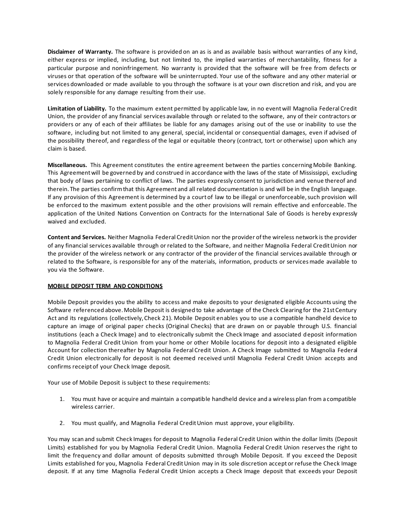**Disclaimer of Warranty.** The software is provided on an as is and as available basis without warranties of any kind, either express or implied, including, but not limited to, the implied warranties of merchantability, fitness for a particular purpose and noninfringement. No warranty is provided that the software will be free from defects or viruses or that operation of the software will be uninterrupted. Your use of the software and any other material or services downloaded or made available to you through the software is at your own discretion and risk, and you are solely responsible for any damage resulting from their use.

**Limitation of Liability.** To the maximum extent permitted by applicable law, in no event will Magnolia Federal Credit Union, the provider of any financial services available through or related to the software, any of their contractors or providers or any of each of their affiliates be liable for any damages arising out of the use or inability to use the software, including but not limited to any general, special, incidental or consequential damages, even if advised of the possibility thereof, and regardless of the legal or equitable theory (contract, tort or otherwise) upon which any claim is based.

**Miscellaneous.** This Agreement constitutes the entire agreement between the parties concerning Mobile Banking. This Agreement will be governed by and construed in accordance with the laws of the state of Mississippi, excluding that body of laws pertaining to conflict of laws. The parties expressly consent to jurisdiction and venue thereof and therein. The parties confirm that this Agreement and all related documentation is and will be in the English language. If any provision of this Agreement is determined by a court of law to be illegal or unenforceable, such provision will be enforced to the maximum extent possible and the other provisions will remain effective and enforceable. The application of the United Nations Convention on Contracts for the International Sale of Goods is hereby expressly waived and excluded.

**Content and Services.** Neither Magnolia Federal Credit Union nor the provider of the wireless network is the provider of any financial services available through or related to the Software, and neither Magnolia Federal Credit Union nor the provider of the wireless network or any contractor of the provider of the financial services available through or related to the Software, is responsible for any of the materials, information, products or services made available to you via the Software.

### **MOBILE DEPOSIT TERM AND CONDITIONS**

Mobile Deposit provides you the ability to access and make deposits to your designated eligible Accounts using the Software referenced above. Mobile Deposit is designed to take advantage of the Check Clearing for the 21st Century Act and its regulations (collectively, Check 21). Mobile Deposit enables you to use a compatible handheld device to capture an image of original paper checks (Original Checks) that are drawn on or payable through U.S. financial institutions (each a Check Image) and to electronically submit the Check Image and associated deposit information to Magnolia Federal Credit Union from your home or other Mobile locations for deposit into a designated eligible Account for collection thereafter by Magnolia Federal Credit Union. A Check Image submitted to Magnolia Federal Credit Union electronically for deposit is not deemed received until Magnolia Federal Credit Union accepts and confirms receipt of your Check Image deposit.

Your use of Mobile Deposit is subject to these requirements:

- 1. You must have or acquire and maintain a compatible handheld device and a wireless plan from a compatible wireless carrier.
- 2. You must qualify, and Magnolia Federal Credit Union must approve, your eligibility.

You may scan and submit Check Images for deposit to Magnolia Federal Credit Union within the dollar limits (Deposit Limits) established for you by Magnolia Federal Credit Union. Magnolia Federal Credit Union reserves the right to limit the frequency and dollar amount of deposits submitted through Mobile Deposit. If you exceed the Deposit Limits established for you, Magnolia Federal Credit Union may in its sole discretion accept or refuse the Check Image deposit. If at any time Magnolia Federal Credit Union accepts a Check Image deposit that exceeds your Deposit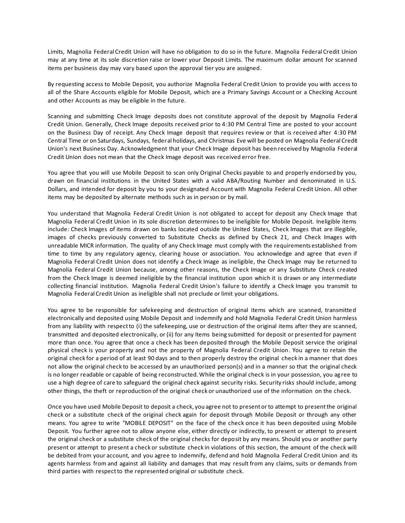Limits, Magnolia Federal Credit Union will have no obligation to do so in the future. Magnolia Federal Credit Union may at any time at its sole discretion raise or lower your Deposit Limits. The maximum dollar amount for scanned items per business day may vary based upon the approval tier you are assigned.

By requesting access to Mobile Deposit, you authorize Magnolia Federal Credit Union to provide you with access to all of the Share Accounts eligible for Mobile Deposit, which are a Primary Savings Account or a Checking Account and other Accounts as may be eligible in the future.

Scanning and submitting Check Image deposits does not constitute approval of the deposit by Magnolia Federal Credit Union. Generally, Check Image deposits received prior to 4:30 PM Central Time are posted to your account on the Business Day of receipt. Any Check Image deposit that requires review or that is received after 4:30 PM Central Time or on Saturdays, Sundays, federal holidays, and Christmas Eve will be posted on Magnolia Federal Credit Union's next Business Day. Acknowledgment that your Check Image deposit has been received by Magnolia Federal Credit Union does not mean that the Check Image deposit was received error free.

You agree that you will use Mobile Deposit to scan only Original Checks payable to and properly endorsed by you, drawn on financial institutions in the United States with a valid ABA/Routing Number and denominated in U.S. Dollars, and intended for deposit by you to your designated Account with Magnolia Federal Credit Union. All other items may be deposited by alternate methods such as in person or by mail.

You understand that Magnolia Federal Credit Union is not obligated to accept for deposit any Check Image that Magnolia Federal Credit Union in its sole discretion determines to be ineligible for Mobile Deposit. Ineligible items include: Check Images of items drawn on banks located outside the United States, Check Images that are illegible, images of checks previously converted to Substitute Checks as defined by Check 21, and Check Images with unreadable MICR information. The quality of any Check Image must comply with the requirements established from time to time by any regulatory agency, clearing house or association. You acknowledge and agree that even if Magnolia Federal Credit Union does not identify a Check Image as ineligible, the Check Image may be returned to Magnolia Federal Credit Union because, among other reasons, the Check Image or any Substitute Check created from the Check Image is deemed ineligible by the financial institution upon which it is drawn or any intermediate collecting financial institution. Magnolia Federal Credit Union's failure to identify a Check Image you transmit to Magnolia Federal Credit Union as ineligible shall not preclude or limit your obligations.

You agree to be responsible for safekeeping and destruction of original items which are scanned, transmitte d electronically and deposited using Mobile Deposit and indemnify and hold Magnolia Federal Credit Union harmless from any liability with respect to (i) the safekeeping, use or destruction of the original items after they are scanned, transmitted and deposited electronically, or (ii) for any Items being submitted for deposit or presented for payment more than once. You agree that once a check has been deposited through the Mobile Deposit service the original physical check is your property and not the property of Magnolia Federal Credit Union. You agree to retain the original check for a period of at least 90 days and to then properly destroy the original check in a manner that does not allow the original check to be accessed by an unauthorized person(s) and in a manner so that the original check is no longer readable or capable of being reconstructed. While the original check is in your possession, you ag ree to use a high degree of care to safeguard the original check against security risks. Security risks should include, among other things, the theft or reproduction of the original check or unauthorized use of the information on the check.

Once you have used Mobile Deposit to deposit a check, you agree not to present or to attempt to present the original check or a substitute check of the original check again for deposit through Mobile Deposit or through any other means. You agree to write "MOBILE DEPOSIT" on the face of the check once it has been deposited using Mobile Deposit. You further agree not to allow anyone else, either directly or indirectly, to present or attempt to present the original check or a substitute check of the original checks for deposit by any means. Should you or another party present or attempt to present a check or substitute check in violations of this section, the amount of the check will be debited from your account, and you agree to indemnify, defend and hold Magnolia Federal Credit Union and its agents harmless from and against all liability and damages that may result from any claims, suits or demands from third parties with respect to the represented original or substitute check.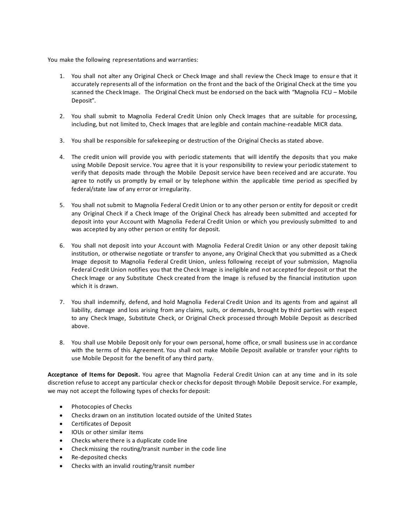You make the following representations and warranties:

- 1. You shall not alter any Original Check or Check Image and shall review the Check Image to ensur e that it accurately represents all of the information on the front and the back of the Original Check at the time you scanned the Check Image. The Original Check must be endorsed on the back with "Magnolia FCU – Mobile Deposit".
- 2. You shall submit to Magnolia Federal Credit Union only Check Images that are suitable for processing, including, but not limited to, Check Images that are legible and contain machine-readable MICR data.
- 3. You shall be responsible for safekeeping or destruction of the Original Checks as stated above.
- 4. The credit union will provide you with periodic statements that will identify the deposits that you make using Mobile Deposit service. You agree that it is your responsibility to review your periodic statement to verify that deposits made through the Mobile Deposit service have been received and are accurate. You agree to notify us promptly by email or by telephone within the applicable time period as specified by federal/state law of any error or irregularity.
- 5. You shall not submit to Magnolia Federal Credit Union or to any other person or entity for deposit or credit any Original Check if a Check Image of the Original Check has already been submitted and accepted for deposit into your Account with Magnolia Federal Credit Union or which you previously submitted to and was accepted by any other person or entity for deposit.
- 6. You shall not deposit into your Account with Magnolia Federal Credit Union or any other deposit taking institution, or otherwise negotiate or transfer to anyone, any Original Check that you submitted as a Check Image deposit to Magnolia Federal Credit Union, unless following receipt of your submission, Magnolia Federal Credit Union notifies you that the Check Image is ineligible and not accepted for deposit or that the Check Image or any Substitute Check created from the Image is refused by the financial institution upon which it is drawn.
- 7. You shall indemnify, defend, and hold Magnolia Federal Credit Union and its agents from and against all liability, damage and loss arising from any claims, suits, or demands, brought by third parties with respect to any Check Image, Substitute Check, or Original Check processed through Mobile Deposit as described above.
- 8. You shall use Mobile Deposit only for your own personal, home office, or small business use in ac cordance with the terms of this Agreement. You shall not make Mobile Deposit available or transfer your rights to use Mobile Deposit for the benefit of any third party.

**Acceptance of Items for Deposit.** You agree that Magnolia Federal Credit Union can at any time and in its sole discretion refuse to accept any particular check or checks for deposit through Mobile Deposit service. For example, we may not accept the following types of checks for deposit:

- Photocopies of Checks
- Checks drawn on an institution located outside of the United States
- Certificates of Deposit
- IOUs or other similar items
- Checks where there is a duplicate code line
- Check missing the routing/transit number in the code line
- Re-deposited checks
- Checks with an invalid routing/transit number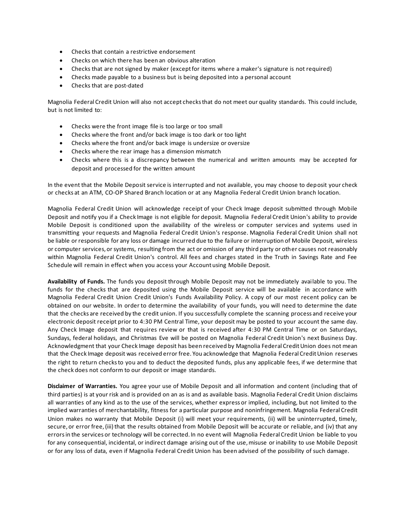- Checks that contain a restrictive endorsement
- Checks on which there has been an obvious alteration
- Checks that are not signed by maker (except for items where a maker's signature is not required)
- Checks made payable to a business but is being deposited into a personal account
- Checks that are post-dated

Magnolia Federal Credit Union will also not accept checks that do not meet our quality standards. This could include, but is not limited to:

- Checks were the front image file is too large or too small
- Checks where the front and/or back image is too dark or too light
- Checks where the front and/or back image is undersize or oversize
- Checks where the rear image has a dimension mismatch
- Checks where this is a discrepancy between the numerical and written amounts may be accepted for deposit and processed for the written amount

In the event that the Mobile Deposit service is interrupted and not available, you may choose to deposit your check or checks at an ATM, CO-OP Shared Branch location or at any Magnolia Federal Credit Union branch location.

Magnolia Federal Credit Union will acknowledge receipt of your Check Image deposit submitted through Mobile Deposit and notify you if a Check Image is not eligible for deposit. Magnolia Federal Credit Union's ability to provide Mobile Deposit is conditioned upon the availability of the wireless or computer services and systems used in transmitting your requests and Magnolia Federal Credit Union's response. Magnolia Federal Credit Union shall not be liable or responsible for any loss or damage incurred due to the failure or interruption of Mobile Deposit, wireless or computer services, or systems, resulting from the act or omission of any third party or other causes not reasonably within Magnolia Federal Credit Union's control. All fees and charges stated in the Truth in Savings Rate and Fee Schedule will remain in effect when you access your Account using Mobile Deposit.

**Availability of Funds.** The funds you deposit through Mobile Deposit may not be immediately available to you. The funds for the checks that are deposited using the Mobile Deposit service will be available in accordance with Magnolia Federal Credit Union Credit Union's Funds Availability Policy. A copy of our most recent policy can be obtained on our website. In order to determine the availability of your funds, you will need to determine the date that the checks are received by the credit union. If you successfully complete the scanning process and receive your electronic deposit receipt prior to 4:30 PM Central Time, your deposit may be posted to your account the same day. Any Check Image deposit that requires review or that is received after 4:30 PM Central Time or on Saturdays, Sundays, federal holidays, and Christmas Eve will be posted on Magnolia Federal Credit Union's next Business Day. Acknowledgment that your Check Image deposit has been received by Magnolia Federal Credit Union does not mean that the Check Image deposit was received error free. You acknowledge that Magnolia Federal Credit Union reserves the right to return checks to you and to deduct the deposited funds, plus any applicable fees, if we determine that the check does not conform to our deposit or image standards.

**Disclaimer of Warranties.** You agree your use of Mobile Deposit and all information and content (including that of third parties) is at your risk and is provided on an as is and as available basis. Magnolia Federal Credit Union disclaims all warranties of any kind as to the use of the services, whether express or implied, including, but not limited to the implied warranties of merchantability, fitness for a particular purpose and noninfringement. Magnolia Federal Credit Union makes no warranty that Mobile Deposit (i) will meet your requirements, (ii) will be uninterrupted, timely, secure, or error free, (iii) that the results obtained from Mobile Deposit will be accurate or reliable, and (iv) that any errors in the services or technology will be corrected. In no event will Magnolia Federal Credit Union be liable to you for any consequential, incidental, or indirect damage arising out of the use, misuse or inability to use Mobile Deposit or for any loss of data, even if Magnolia Federal Credit Union has been advised of the possibility of such damage.